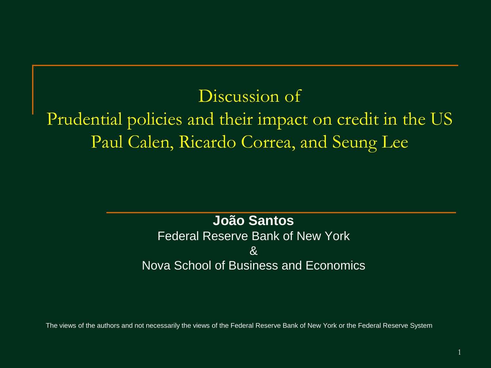#### Discussion of

# Prudential policies and their impact on credit in the US Paul Calen, Ricardo Correa, and Seung Lee

#### **João Santos**

#### Federal Reserve Bank of New York  $\mathcal{R}_{\mathbf{z}}$ Nova School of Business and Economics

The views of the authors and not necessarily the views of the Federal Reserve Bank of New York or the Federal Reserve System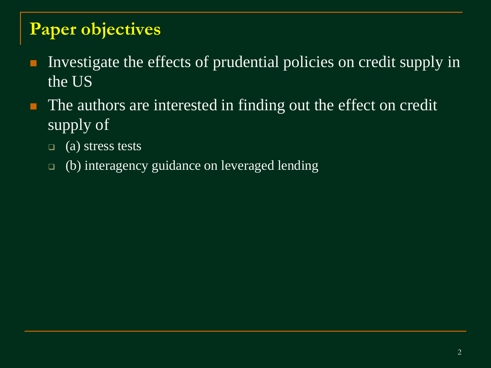# **Paper objectives**

- Investigate the effects of prudential policies on credit supply in the US
- The authors are interested in finding out the effect on credit supply of
	- $\Box$  (a) stress tests
	- (b) interagency guidance on leveraged lending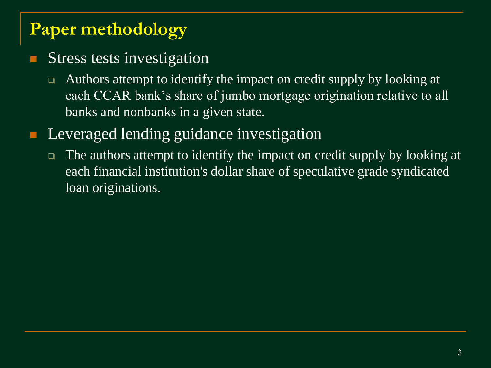# **Paper methodology**

#### Stress tests investigation

□ Authors attempt to identify the impact on credit supply by looking at each CCAR bank's share of jumbo mortgage origination relative to all banks and nonbanks in a given state.

### Leveraged lending guidance investigation

□ The authors attempt to identify the impact on credit supply by looking at each financial institution's dollar share of speculative grade syndicated loan originations.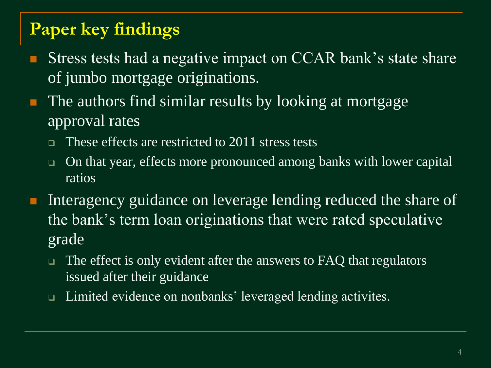# **Paper key findings**

- Stress tests had a negative impact on CCAR bank's state share of jumbo mortgage originations.
- The authors find similar results by looking at mortgage approval rates
	- These effects are restricted to 2011 stress tests
	- □ On that year, effects more pronounced among banks with lower capital ratios
- Interagency guidance on leverage lending reduced the share of the bank's term loan originations that were rated speculative grade
	- $\Box$  The effect is only evident after the answers to FAQ that regulators issued after their guidance
	- □ Limited evidence on nonbanks' leveraged lending activites.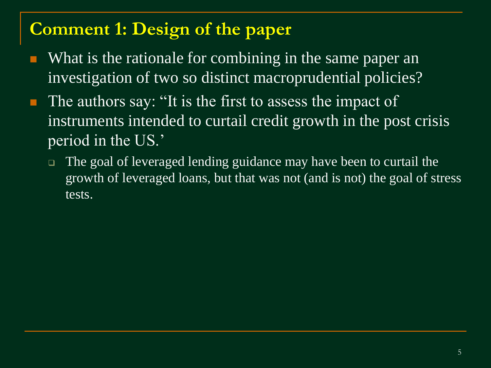### **Comment 1: Design of the paper**

- What is the rationale for combining in the same paper an investigation of two so distinct macroprudential policies?
- **The authors say: "It is the first to assess the impact of** instruments intended to curtail credit growth in the post crisis period in the US.'
	- □ The goal of leveraged lending guidance may have been to curtail the growth of leveraged loans, but that was not (and is not) the goal of stress tests.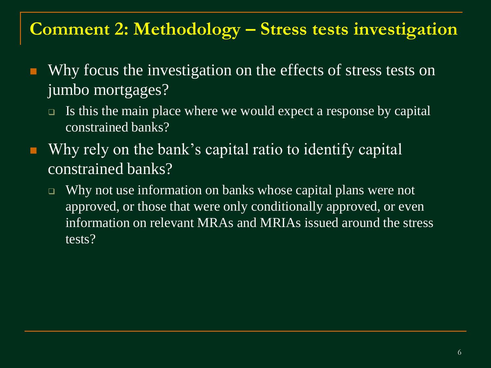### **Comment 2: Methodology – Stress tests investigation**

- Why focus the investigation on the effects of stress tests on jumbo mortgages?
	- $\Box$  Is this the main place where we would expect a response by capital constrained banks?
- Why rely on the bank's capital ratio to identify capital constrained banks?
	- □ Why not use information on banks whose capital plans were not approved, or those that were only conditionally approved, or even information on relevant MRAs and MRIAs issued around the stress tests?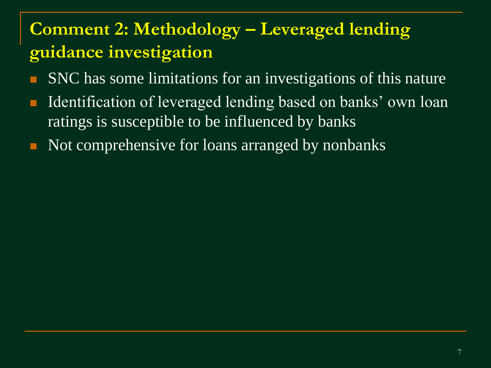# **Comment 2: Methodology – Leveraged lending guidance investigation**

- SNC has some limitations for an investigations of this nature
- Identification of leveraged lending based on banks' own loan ratings is susceptible to be influenced by banks
- Not comprehensive for loans arranged by nonbanks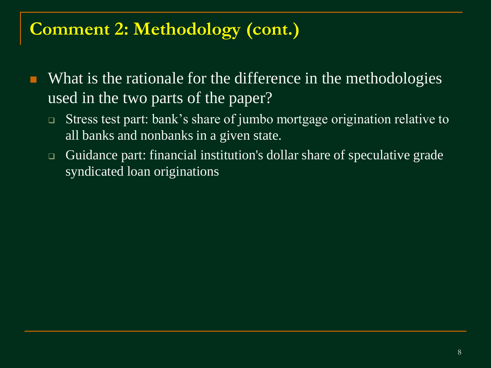# **Comment 2: Methodology (cont.)**

- What is the rationale for the difference in the methodologies used in the two parts of the paper?
	- Stress test part: bank's share of jumbo mortgage origination relative to all banks and nonbanks in a given state.
	- Guidance part: financial institution's dollar share of speculative grade syndicated loan originations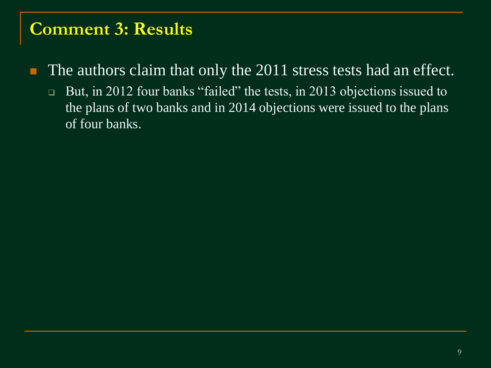#### **Comment 3: Results**

The authors claim that only the 2011 stress tests had an effect.

□ But, in 2012 four banks "failed" the tests, in 2013 objections issued to the plans of two banks and in 2014 objections were issued to the plans of four banks.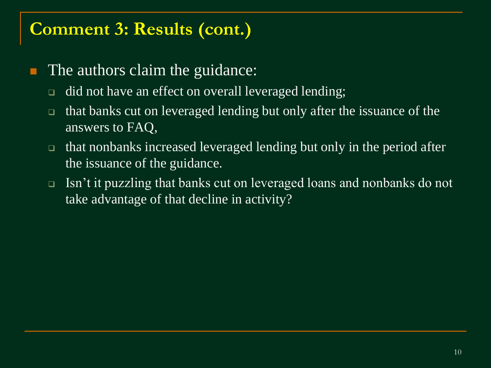#### **Comment 3: Results (cont.)**

- The authors claim the guidance:
	- □ did not have an effect on overall leveraged lending;
	- that banks cut on leveraged lending but only after the issuance of the answers to FAQ,
	- that nonbanks increased leveraged lending but only in the period after the issuance of the guidance.
	- □ Isn't it puzzling that banks cut on leveraged loans and nonbanks do not take advantage of that decline in activity?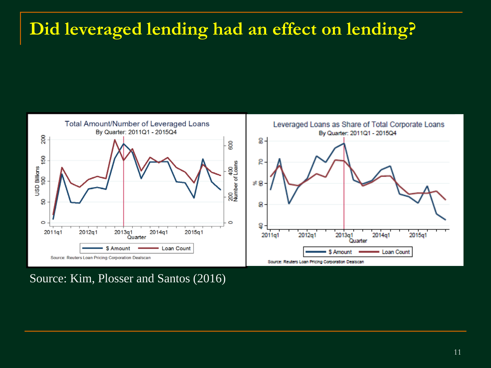# **Did leveraged lending had an effect on lending?**



Source: Kim, Plosser and Santos (2016)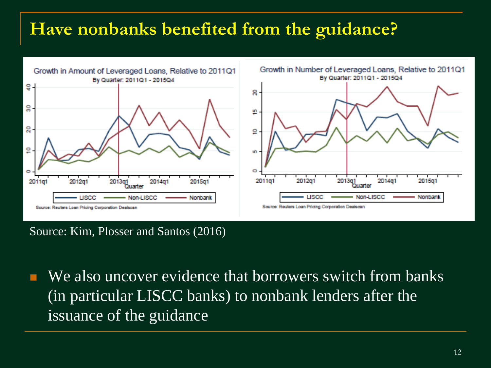# **Have nonbanks benefited from the guidance?**



Source: Kim, Plosser and Santos (2016)

We also uncover evidence that borrowers switch from banks (in particular LISCC banks) to nonbank lenders after the issuance of the guidance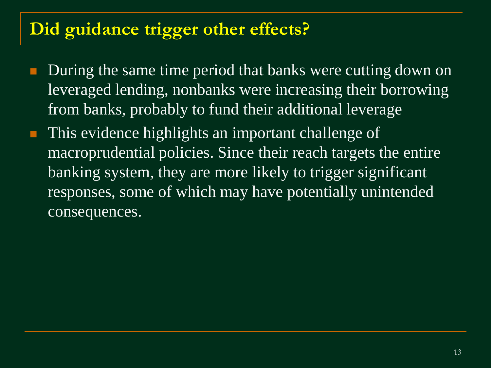# **Did guidance trigger other effects?**

- During the same time period that banks were cutting down on leveraged lending, nonbanks were increasing their borrowing from banks, probably to fund their additional leverage
- This evidence highlights an important challenge of macroprudential policies. Since their reach targets the entire banking system, they are more likely to trigger significant responses, some of which may have potentially unintended consequences.